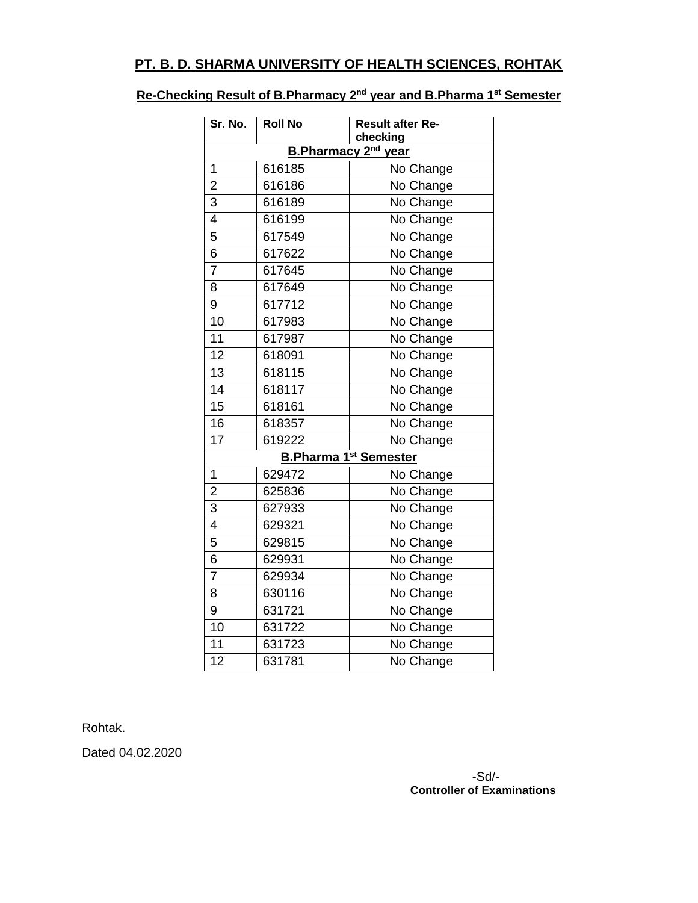## **PT. B. D. SHARMA UNIVERSITY OF HEALTH SCIENCES, ROHTAK**

## **Re-Checking Result of B.Pharmacy 2nd year and B.Pharma 1st Semester**

| Sr. No.                         | <b>Roll No</b> | <b>Result after Re-</b><br>checking |  |
|---------------------------------|----------------|-------------------------------------|--|
| B.Pharmacy 2 <sup>nd</sup> year |                |                                     |  |
| 1                               | 616185         | No Change                           |  |
| $\overline{2}$                  | 616186         | No Change                           |  |
| $\overline{3}$                  | 616189         | No Change                           |  |
| 4                               | 616199         | No Change                           |  |
| $\overline{5}$                  | 617549         | No Change                           |  |
| 6                               | 617622         | No Change                           |  |
| 7                               | 617645         | No Change                           |  |
| 8                               | 617649         | No Change                           |  |
| $\overline{9}$                  | 617712         | No Change                           |  |
| 10                              | 617983         | No Change                           |  |
| $\overline{11}$                 | 617987         | No Change                           |  |
| $\overline{12}$                 | 618091         | No Change                           |  |
| $\overline{13}$                 | 618115         | No Change                           |  |
| $\overline{14}$                 | 618117         | No Change                           |  |
| $\overline{15}$                 | 618161         | No Change                           |  |
| 16                              | 618357         | No Change                           |  |
| 17                              | 619222         | No Change                           |  |
| <b>B.Pharma 1st Semester</b>    |                |                                     |  |
| $\mathbf{1}$                    | 629472         | No Change                           |  |
| $\overline{2}$                  | 625836         | No Change                           |  |
| $\overline{3}$                  | 627933         | No Change                           |  |
| $\overline{4}$                  | 629321         | No Change                           |  |
| $\overline{5}$                  | 629815         | No Change                           |  |
| 6                               | 629931         | No Change                           |  |
| $\overline{7}$                  | 629934         | No Change                           |  |
| 8                               | 630116         | No Change                           |  |
| 9                               | 631721         | No Change                           |  |
| 10                              | 631722         | No Change                           |  |
| 11                              | 631723         | No Change                           |  |
| $\overline{12}$                 | 631781         | No Change                           |  |

Rohtak.

Dated 04.02.2020